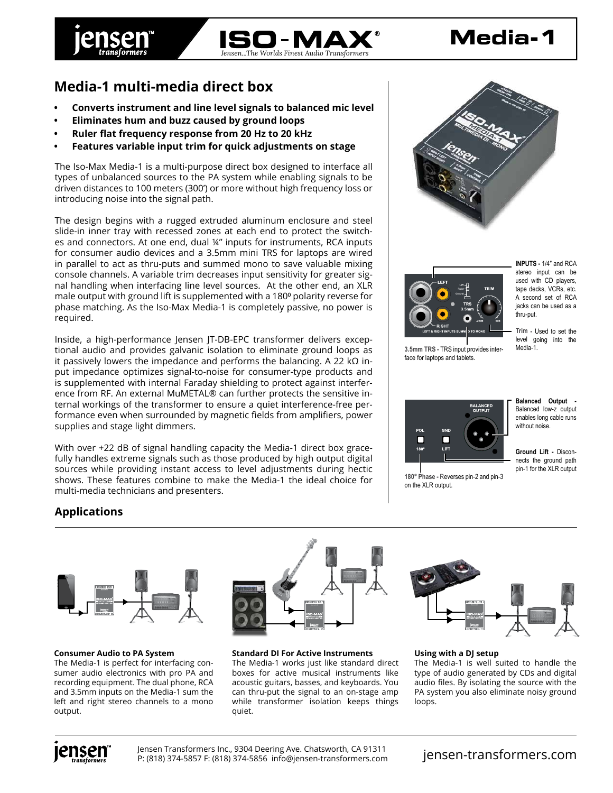

# **Media-1**

## **Media-1 multi-media direct box**

- **• Converts instrument and line level signals to balanced mic level**
- **• Eliminates hum and buzz caused by ground loops**
- **• Ruler flat frequency response from 20 Hz to 20 kHz**
- **• Features variable input trim for quick adjustments on stage**

The Iso-Max Media-1 is a multi-purpose direct box designed to interface all types of unbalanced sources to the PA system while enabling signals to be driven distances to 100 meters (300') or more without high frequency loss or introducing noise into the signal path.

The design begins with a rugged extruded aluminum enclosure and steel slide-in inner tray with recessed zones at each end to protect the switches and connectors. At one end, dual ¼" inputs for instruments, RCA inputs for consumer audio devices and a 3.5mm mini TRS for laptops are wired in parallel to act as thru-puts and summed mono to save valuable mixing console channels. A variable trim decreases input sensitivity for greater signal handling when interfacing line level sources. At the other end, an XLR male output with ground lift is supplemented with a 180<sup>°</sup> polarity reverse for phase matching. As the Iso-Max Media-1 is completely passive, no power is required.

Inside, a high-performance Jensen JT-DB-EPC transformer delivers exceptional audio and provides galvanic isolation to eliminate ground loops as it passively lowers the impedance and performs the balancing. A 22 kΩ input impedance optimizes signal-to-noise for consumer-type products and is supplemented with internal Faraday shielding to protect against interference from RF. An external MuMETAL® can further protects the sensitive internal workings of the transformer to ensure a quiet interference-free performance even when surrounded by magnetic fields from amplifiers, power supplies and stage light dimmers.

With over +22 dB of signal handling capacity the Media-1 direct box gracefully handles extreme signals such as those produced by high output digital sources while providing instant access to level adjustments during hectic shows. These features combine to make the Media-1 the ideal choice for multi-media technicians and presenters.





**3.5mm TRS -** TRS input provides interface for laptops and tablets.

**INPUTS -** 1/4" and RCA stereo input can be used with CD players, tape decks, VCRs, etc. A second set of RCA jacks can be used as a thru-put.

**Trim -** Used to set the level going into the Media-1.



**180° Phase -** Reverses pin-2 and pin-3 on the XLR output.

**Balanced Output -**  Balanced low-z output enables long cable runs without noise.

**Ground Lift -** Disconnects the ground path pin-1 for the XLR output

### **Applications**



### **Consumer Audio to PA System**

The Media-1 is perfect for interfacing consumer audio electronics with pro PA and recording equipment. The dual phone, RCA and 3.5mm inputs on the Media-1 sum the left and right stereo channels to a mono output.



**Standard DI For Active Instruments** The Media-1 works just like standard direct boxes for active musical instruments like acoustic guitars, basses, and keyboards. You can thru-put the signal to an on-stage amp while transformer isolation keeps things quiet.



**Using with a DJ setup**

The Media-1 is well suited to handle the type of audio generated by CDs and digital audio files. By isolating the source with the PA system you also eliminate noisy ground loops.